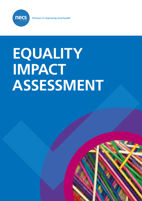

**Partners in improving local health**

# **EQUALITY IMPACT ASSESSMENT**

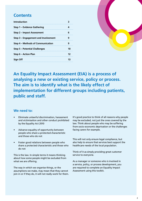#### **Contents**

| <b>Introduction</b>                  |    |
|--------------------------------------|----|
| <b>Step 1 - Evidence Gathering</b>   |    |
| <b>Step 2 - Impact Assessment</b>    | 6  |
| Step 3 - Engagement and Involvement  | g  |
| Step 4 – Methods of Communication    | g  |
| <b>Step 5 - Potential Challenges</b> | 10 |
| <b>Step 6 - Action Plan</b>          | 12 |
| <b>Sign Off</b>                      | 13 |

**An Equality Impact Assessment (EIA) is a process of analysing a new or existing service, policy or process. The aim is to identify what is the likely effect of implementation for different groups including patients, public and staff.**

#### **We need to:**

- Eliminate unlawful discrimination, harassment and victimisation and other conduct prohibited by the Equality Act 2010
- Advance equality of opportunity between people who share a protected characteristic and those who do not
- Foster good relations between people who share a protected characteristic and those who do not

This is the law. In simple terms it means thinking about how some people might be excluded from what we are offering.

The way in which we organise things, or the assumptions we make, may mean that they cannot join in or if they do, it will not really work for them. It's good practice to think of all reasons why people may be excluded, not just the ones covered by the law. Think about people who may be suffering from socio-economic deprivation or the challenges facing carers for example.

This will not only ensure legal compliance, but also help to ensure that services best support the healthcare needs of the local population.

Think of it as simply providing great customer service to everyone.

As a manager or someone who is involved in a service, policy, or process development, you are required to complete an Equality Impact Assessment using this toolkit.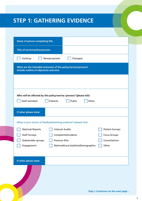# **STEP 1: GATHERING EVIDENCE**

| <b>Name of person completing EIA:</b>                                                                    |                                   |
|----------------------------------------------------------------------------------------------------------|-----------------------------------|
| Title of service/policy/process:                                                                         |                                   |
| Existing:<br>New/proposed:<br>Changed:                                                                   |                                   |
| What are the intended outcomes of this policy/service/process?<br>Include outline of objectives and aims |                                   |
|                                                                                                          |                                   |
|                                                                                                          |                                   |
| Who will be affected by this policy/service /process? (please tick)                                      |                                   |
| Staff members<br>Patients<br>Public<br>Other                                                             |                                   |
| If other please state:                                                                                   |                                   |
| What is your source of feedback/existing evidence? (please tick)                                         |                                   |
| <b>National Reports</b><br><b>Internal Audits</b>                                                        | <b>Patient Surveys</b>            |
| <b>Staff Surveys</b><br>Complaints/Incidents                                                             | <b>Focus Groups</b>               |
| <b>Previous EIAs</b><br>Stakeholder groups                                                               | Consultations                     |
| Engagement<br>National/Local statistics/Demographics                                                     | Other                             |
|                                                                                                          |                                   |
| If other please state:                                                                                   |                                   |
|                                                                                                          |                                   |
|                                                                                                          |                                   |
|                                                                                                          |                                   |
|                                                                                                          | Step 1 Continues on the next page |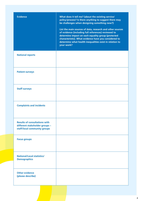| <b>Evidence</b>                                                                                        | What does it tell me? (about the existing service/<br>policy/process? Is there anything to suggest there may<br>be challenges when designing something new?)<br>List the main sources of data, research and other sources<br>of evidence (including full references) reviewed to<br>determine impact on each equality group (protected<br>characteristic). What evidence have you considered to<br>determine what health inequalities exist in relation to<br>your work? |
|--------------------------------------------------------------------------------------------------------|--------------------------------------------------------------------------------------------------------------------------------------------------------------------------------------------------------------------------------------------------------------------------------------------------------------------------------------------------------------------------------------------------------------------------------------------------------------------------|
| <b>National reports</b>                                                                                |                                                                                                                                                                                                                                                                                                                                                                                                                                                                          |
| <b>Patient surveys</b>                                                                                 |                                                                                                                                                                                                                                                                                                                                                                                                                                                                          |
| <b>Staff surveys</b>                                                                                   |                                                                                                                                                                                                                                                                                                                                                                                                                                                                          |
| <b>Complaints and incidents</b>                                                                        |                                                                                                                                                                                                                                                                                                                                                                                                                                                                          |
| <b>Results of consultations with</b><br>different stakeholder groups -<br>staff/local community groups |                                                                                                                                                                                                                                                                                                                                                                                                                                                                          |
| <b>Focus groups</b>                                                                                    |                                                                                                                                                                                                                                                                                                                                                                                                                                                                          |
| <b>National/Local statistics/</b><br><b>Demographics</b>                                               |                                                                                                                                                                                                                                                                                                                                                                                                                                                                          |
| <b>Other evidence</b><br>(please describe)                                                             |                                                                                                                                                                                                                                                                                                                                                                                                                                                                          |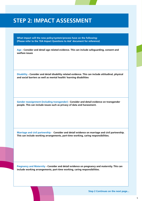#### **STEP 2: IMPACT ASSESSMENT**

**What impact will the new policy/system/process have on the following: (Please refer to the 'EIA Impact Questions to Ask' document for reference)**

**Age - Consider and detail age related evidence. This can include safeguarding, consent and welfare issues**

**Disability - Consider and detail disability related evidence. This can include attitudinal, physical and social barriers as well as mental health/ learning disabilities**

**Gender reassignment (including transgender) - Consider and detail evidence on transgender people. This can include issues such as privacy of data and harassment.**

**Marriage and civil partnership - Consider and detail evidence on marriage and civil partnership. This can include working arrangements, part-time working, caring responsibilities.**

**Pregnancy and Maternity - Consider and detail evidence on pregnancy and maternity. This can include working arrangements, part-time working, caring responsibilities.**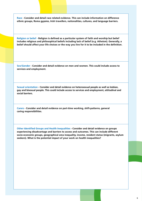**Race - Consider and detail race related evidence. This can include information on difference ethnic groups, Roma gypsies, Irish travellers, nationalities, cultures, and language barriers.**

**Religion or belief - Religion is defined as a particular system of faith and worship but belief includes religious and philosophical beliefs including lack of belief (e.g. Atheism). Generally, a belief should affect your life choices or the way you live for it to be included in the definition.**

**Sex/Gender - Consider and detail evidence on men and women. This could include access to services and employment.**

**Sexual orientation - Consider and detail evidence on heterosexual people as well as lesbian, gay and bisexual people. This could include access to services and employment, attitudinal and social barriers.**

**Carers - Consider and detail evidence on part-time working, shift-patterns, general caring responsibilities.**

**Other Identified Groups and Health Inequalities - Consider and detail evidence on groups experiencing disadvantage and barriers to access and outcomes. This can include different socio-economic groups, geographical area inequality, income, resident status (migrants, asylum seekers). What is the potential impact of your work on health inequalities?**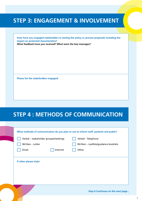### **STEP 3: ENGAGEMENT & INVOLVEMENT**

**How have you engaged stakeholders in testing the policy or process proposals including the impact on protected characteristics? What feedback have you received? What were the key messages?**

**Please list the stakeholders engaged:**

# **STEP 4 : METHODS OF COMMUNICATION**

| Verbal - stakeholder groups/meetings | Verbal - Telephone                   |
|--------------------------------------|--------------------------------------|
| Written - Letter                     | Written - Leaflets/guidance booklets |
| Email                                | Internet<br>Other                    |
|                                      |                                      |
|                                      |                                      |
|                                      |                                      |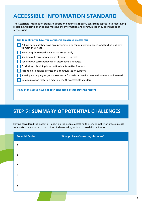# **ACCESSIBLE INFORMATION STANDARD**

The Accessible Information Standard directs and defines a specific, consistent approach to identifying, recording, flagging, sharing and meeting the information and communication support needs of service users.

| Tick to confirm you have you considered an agreed process for:                                                 |
|----------------------------------------------------------------------------------------------------------------|
| Asking people if they have any information or communication needs, and finding out how<br>to meet their needs. |
| Recording those needs clearly and consistently.                                                                |
| Sending out correspondence in alternative formats.                                                             |
| Sending out correspondence in alternative languages.                                                           |
| Producing / obtaining information in alternative formats.                                                      |
| Arranging / booking professional communication support.                                                        |
| Booking / arranging longer appointments for patients / service users with communication needs.                 |
| Communication materials meeting the NHS accessible standard                                                    |
|                                                                                                                |
| If any of the above have not been considered, please state the reason:                                         |

#### **STEP 5 : SUMMARY OF POTENTIAL CHALLENGES**

Having considered the potential impact on the people accessing the service, policy or process please summarise the areas have been identified as needing action to avoid discrimination.

| <b>Potential Barrier</b> | What problems/issues may this cause? |
|--------------------------|--------------------------------------|
|                          |                                      |
| $\overline{\mathbf{z}}$  |                                      |
| 3                        |                                      |
| 4                        |                                      |
| 5                        |                                      |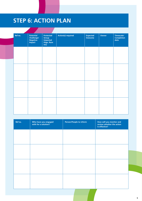# **STEP 6: ACTION PLAN**

| Ref no. | <b>Potential</b><br>Challenge/<br><b>Negative</b><br>Impact | Protected<br>Group<br>Impacted<br>(Age, Race<br>etc) | <b>Action(s) required</b> | <b>Expected</b><br>Outcome | Owner | Timescale/<br><b>Completion</b><br>date |
|---------|-------------------------------------------------------------|------------------------------------------------------|---------------------------|----------------------------|-------|-----------------------------------------|
|         |                                                             |                                                      |                           |                            |       |                                         |
|         |                                                             |                                                      |                           |                            |       |                                         |
|         |                                                             |                                                      |                           |                            |       |                                         |
|         |                                                             |                                                      |                           |                            |       |                                         |
|         |                                                             |                                                      |                           |                            |       |                                         |
|         |                                                             |                                                      |                           |                            |       |                                         |

| Ref no. | Who have you engaged<br>with for a solution? | Person/People to inform | How will you monitor and<br>review whether the action<br>is effective? |
|---------|----------------------------------------------|-------------------------|------------------------------------------------------------------------|
|         |                                              |                         |                                                                        |
|         |                                              |                         |                                                                        |
|         |                                              |                         |                                                                        |
|         |                                              |                         |                                                                        |
|         |                                              |                         |                                                                        |
|         |                                              |                         |                                                                        |